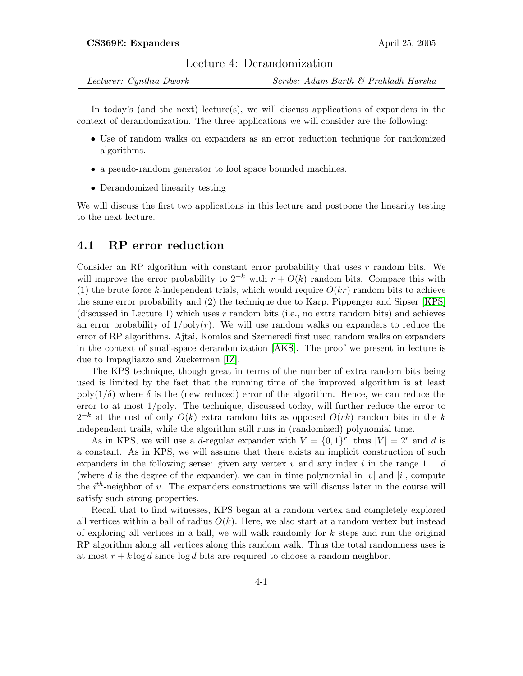## Lecture 4: Derandomization

Lecturer: Cynthia Dwork Scribe: Adam Barth & Prahladh Harsha

In today's (and the next) lecture(s), we will discuss applications of expanders in the context of derandomization. The three applications we will consider are the following:

- Use of random walks on expanders as an error reduction technique for randomized algorithms.
- a pseudo-random generator to fool space bounded machines.
- Derandomized linearity testing

We will discuss the first two applications in this lecture and postpone the linearity testing to the next lecture.

## 4.1 RP error reduction

Consider an RP algorithm with constant error probability that uses  $r$  random bits. We will improve the error probability to  $2^{-k}$  with  $r + O(k)$  random bits. Compare this with (1) the brute force k-independent trials, which would require  $O(kr)$  random bits to achieve the same error probability and (2) the technique due to Karp, Pippenger and Sipser [\[KPS\]](#page-10-0) (discussed in Lecture 1) which uses r random bits (i.e., no extra random bits) and achieves an error probability of  $1/poly(r)$ . We will use random walks on expanders to reduce the error of RP algorithms. Ajtai, Komlos and Szemeredi first used random walks on expanders in the context of small-space derandomization [\[AKS\]](#page-9-0). The proof we present in lecture is due to Impagliazzo and Zuckerman [\[IZ\]](#page-10-1).

The KPS technique, though great in terms of the number of extra random bits being used is limited by the fact that the running time of the improved algorithm is at least poly( $1/\delta$ ) where  $\delta$  is the (new reduced) error of the algorithm. Hence, we can reduce the error to at most 1/poly. The technique, discussed today, will further reduce the error to  $2^{-k}$  at the cost of only  $O(k)$  extra random bits as opposed  $O(rk)$  random bits in the k independent trails, while the algorithm still runs in (randomized) polynomial time.

As in KPS, we will use a d-regular expander with  $V = \{0, 1\}^r$ , thus  $|V| = 2^r$  and d is a constant. As in KPS, we will assume that there exists an implicit construction of such expanders in the following sense: given any vertex v and any index i in the range  $1 \dots d$ (where d is the degree of the expander), we can in time polynomial in |v| and |i|, compute the  $i^{th}$ -neighbor of v. The expanders constructions we will discuss later in the course will satisfy such strong properties.

Recall that to find witnesses, KPS began at a random vertex and completely explored all vertices within a ball of radius  $O(k)$ . Here, we also start at a random vertex but instead of exploring all vertices in a ball, we will walk randomly for  $k$  steps and run the original RP algorithm along all vertices along this random walk. Thus the total randomness uses is at most  $r + k \log d$  since  $\log d$  bits are required to choose a random neighbor.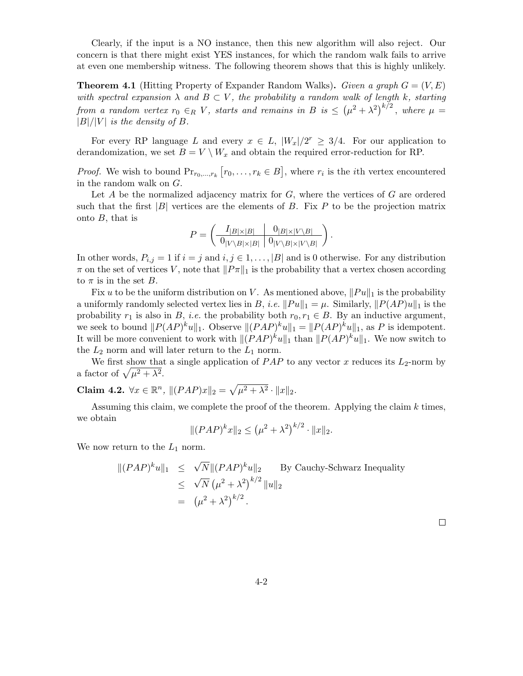Clearly, if the input is a NO instance, then this new algorithm will also reject. Our concern is that there might exist YES instances, for which the random walk fails to arrive at even one membership witness. The following theorem shows that this is highly unlikely.

**Theorem 4.1** (Hitting Property of Expander Random Walks). Given a graph  $G = (V, E)$ with spectral expansion  $\lambda$  and  $B \subset V$ , the probability a random walk of length k, starting from a random vertex  $r_0 \in_R V$ , starts and remains in B is  $\leq (\mu^2 + \lambda^2)^{k/2}$ , where  $\mu =$  $|B|/|V|$  is the density of B.

For every RP language L and every  $x \in L$ ,  $|W_x|/2^r \geq 3/4$ . For our application to derandomization, we set  $B = V \setminus W_x$  and obtain the required error-reduction for RP.

*Proof.* We wish to bound  $Pr_{r_0,\dots,r_k} [r_0,\dots,r_k \in B]$ , where  $r_i$  is the *i*th vertex encountered in the random walk on G.

Let  $A$  be the normalized adjacency matrix for  $G$ , where the vertices of  $G$  are ordered such that the first  $|B|$  vertices are the elements of B. Fix P to be the projection matrix onto B, that is

$$
P = \left(\begin{array}{c|c} I_{|B|\times|B|} & 0_{|B|\times|V\setminus B|} \\ \hline 0_{|V\setminus B|\times|B|} & 0_{|V\setminus B|\times|V\setminus B|} \end{array}\right).
$$

In other words,  $P_{i,j} = 1$  if  $i = j$  and  $i, j \in 1, \ldots, |B|$  and is 0 otherwise. For any distribution  $\pi$  on the set of vertices V, note that  $||P_{\pi}||_1$  is the probability that a vertex chosen according to  $\pi$  is in the set B.

Fix u to be the uniform distribution on V. As mentioned above,  $||Pu||_1$  is the probability a uniformly randomly selected vertex lies in B, *i.e.*  $||Pu||_1 = \mu$ . Similarly,  $||P(AP)u||_1$  is the probability  $r_1$  is also in B, *i.e.* the probability both  $r_0, r_1 \in B$ . By an inductive argument, we seek to bound  $||P(AP)^{k}u||_1$ . Observe  $||(PAP)^{k}u||_1 = ||P(AP)^{k}u||_1$ , as P is idempotent. It will be more convenient to work with  $||(PAP)^{k}u||_1$  than  $||P(AP)^{k}u||_1$ . We now switch to the  $L_2$  norm and will later return to the  $L_1$  norm.

We first show that a single application of  $PAP$  to any vector x reduces its  $L_2$ -norm by a factor of  $\sqrt{\mu^2 + \lambda^2}$ .

<span id="page-1-0"></span>Claim 4.2.  $\forall x \in \mathbb{R}^n$ ,  $|| (PAP)x||_2 = \sqrt{\mu^2 + \lambda^2} \cdot ||x||_2$ .

Assuming this claim, we complete the proof of the theorem. Applying the claim  $k$  times, we obtain

$$
|| (PAP)^k x ||_2 \leq (\mu^2 + \lambda^2)^{k/2} \cdot ||x||_2.
$$

We now return to the  $L_1$  norm.

$$
\|(PAP)^{k}u\|_{1} \leq \sqrt{N} \|(PAP)^{k}u\|_{2} \qquad \text{By Cauchy-Schwarz Inequality}
$$
  
\$\leq \sqrt{N} (\mu^{2} + \lambda^{2})^{k/2} \|u\|\_{2}\$  
= (\mu^{2} + \lambda^{2})^{k/2}.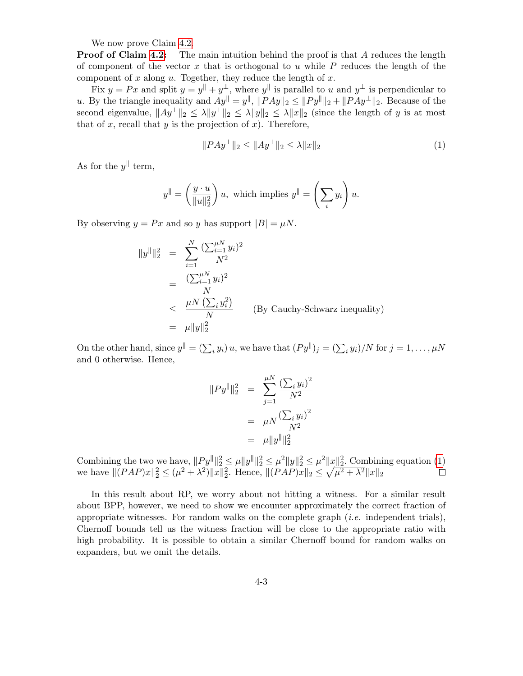We now prove Claim [4.2.](#page-1-0)

**Proof of Claim [4.2:](#page-1-0)** The main intuition behind the proof is that A reduces the length of component of the vector  $x$  that is orthogonal to  $u$  while  $P$  reduces the length of the component of  $x$  along  $u$ . Together, they reduce the length of  $x$ .

Fix  $y = Px$  and split  $y = y^{\parallel} + y^{\perp}$ , where  $y^{\parallel}$  is parallel to u and  $y^{\perp}$  is perpendicular to u. By the triangle inequality and  $Ay^{\parallel} = y^{\parallel}$ ,  $||PAy||_2 \leq ||Py^{\parallel}||_2 + ||PAy^{\perp}||_2$ . Because of the second eigenvalue,  $||Ay^{\perp}||_2 \le \lambda ||y^{\perp}||_2 \le \lambda ||y||_2 \le \lambda ||x||_2$  (since the length of y is at most that of x, recall that y is the projection of x). Therefore,

<span id="page-2-0"></span>
$$
||PAy^{\perp}||_2 \le ||Ay^{\perp}||_2 \le \lambda ||x||_2 \tag{1}
$$

As for the  $y^{\parallel}$  term,

$$
y^{\parallel} = \left(\frac{y \cdot u}{\|u\|_2^2}\right)u, \text{ which implies } y^{\parallel} = \left(\sum_i y_i\right)u.
$$

By observing  $y = Px$  and so y has support  $|B| = \mu N$ .

$$
||y^{||}||_2^2 = \sum_{i=1}^N \frac{(\sum_{i=1}^{\mu N} y_i)^2}{N^2}
$$
  
= 
$$
\frac{(\sum_{i=1}^{\mu N} y_i)^2}{N}
$$
  

$$
\leq \frac{\mu N (\sum_i y_i^2)}{N}
$$
 (By Cauchy-Schwarz inequality)  
= 
$$
\mu ||y||_2^2
$$

On the other hand, since  $y^{\parallel} = (\sum_i y_i) u$ , we have that  $(Py^{\parallel})_j = (\sum_i y_i) / N$  for  $j = 1, ..., \mu N$ and 0 otherwise. Hence,

$$
||Py^{\parallel}||_2^2 = \sum_{j=1}^{\mu N} \frac{(\sum_i y_i)^2}{N^2}
$$
  
=  $\mu N \frac{(\sum_i y_i)^2}{N^2}$   
=  $\mu ||y^{\parallel}||_2^2$ 

Combining the two we have,  $||Py^{\parallel}||_2^2 \leq \mu ||y^{\parallel}||_2^2 \leq \mu^2 ||y||_2^2 \leq \mu^2 ||x||_2^2$ . Combining equation [\(1\)](#page-2-0) we have  $||(PAP)x||_2^2 \leq (\mu^2 + \lambda^2)||x||_2^2$ . Hence,  $||(PAP)x||_2 \leq \sqrt{\mu^2 + \lambda^2}||x||_2$ 

In this result about RP, we worry about not hitting a witness. For a similar result about BPP, however, we need to show we encounter approximately the correct fraction of appropriate witnesses. For random walks on the complete graph  $(i.e.$  independent trials), Chernoff bounds tell us the witness fraction will be close to the appropriate ratio with high probability. It is possible to obtain a similar Chernoff bound for random walks on expanders, but we omit the details.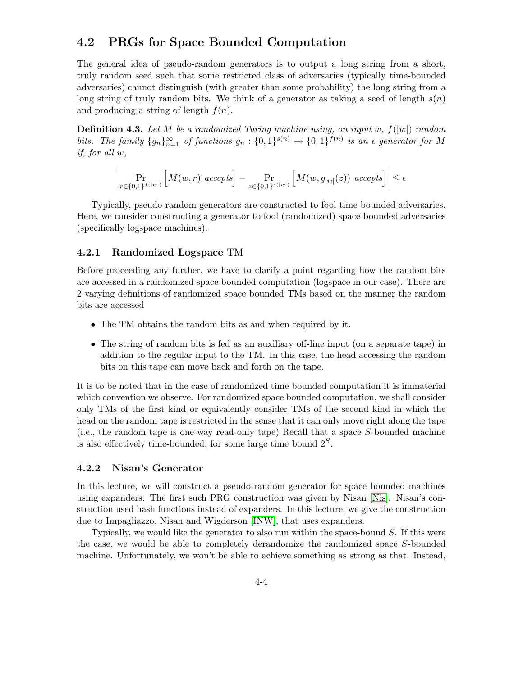# 4.2 PRGs for Space Bounded Computation

The general idea of pseudo-random generators is to output a long string from a short, truly random seed such that some restricted class of adversaries (typically time-bounded adversaries) cannot distinguish (with greater than some probability) the long string from a long string of truly random bits. We think of a generator as taking a seed of length  $s(n)$ and producing a string of length  $f(n)$ .

**Definition 4.3.** Let M be a randomized Turing machine using, on input w,  $f(|w|)$  random bits. The family  $\{g_n\}_{n=1}^{\infty}$  of functions  $g_n: \{0,1\}^{s(n)} \to \{0,1\}^{f(n)}$  is an e-generator for M if, for all w,

$$
\left|\Pr_{r \in \{0,1\}^{f(|w|)}} \left[M(w,r) \,\,accepts\right] - \Pr_{z \in \{0,1\}^{s(|w|)}} \left[M(w,g_{|w|}(z)) \,\,accepts\right]\right| \le \epsilon
$$

Typically, pseudo-random generators are constructed to fool time-bounded adversaries. Here, we consider constructing a generator to fool (randomized) space-bounded adversaries (specifically logspace machines).

### 4.2.1 Randomized Logspace TM

Before proceeding any further, we have to clarify a point regarding how the random bits are accessed in a randomized space bounded computation (logspace in our case). There are 2 varying definitions of randomized space bounded TMs based on the manner the random bits are accessed

- The TM obtains the random bits as and when required by it.
- The string of random bits is fed as an auxiliary off-line input (on a separate tape) in addition to the regular input to the TM. In this case, the head accessing the random bits on this tape can move back and forth on the tape.

It is to be noted that in the case of randomized time bounded computation it is immaterial which convention we observe. For randomized space bounded computation, we shall consider only TMs of the first kind or equivalently consider TMs of the second kind in which the head on the random tape is restricted in the sense that it can only move right along the tape (i.e., the random tape is one-way read-only tape) Recall that a space S-bounded machine is also effectively time-bounded, for some large time bound  $2<sup>S</sup>$ .

#### 4.2.2 Nisan's Generator

In this lecture, we will construct a pseudo-random generator for space bounded machines using expanders. The first such PRG construction was given by Nisan [\[Nis\]](#page-10-2). Nisan's construction used hash functions instead of expanders. In this lecture, we give the construction due to Impagliazzo, Nisan and Wigderson [\[INW\]](#page-10-3), that uses expanders.

Typically, we would like the generator to also run within the space-bound  $S$ . If this were the case, we would be able to completely derandomize the randomized space S-bounded machine. Unfortunately, we won't be able to achieve something as strong as that. Instead,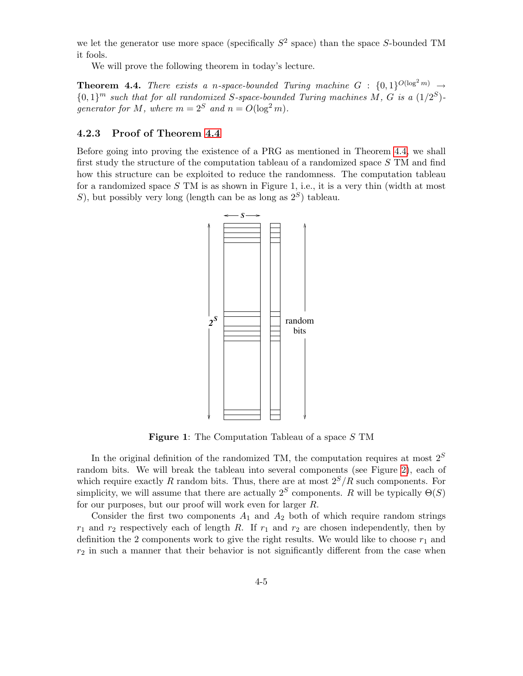we let the generator use more space (specifically  $S^2$  space) than the space S-bounded TM it fools.

We will prove the following theorem in today's lecture.

<span id="page-4-0"></span>**Theorem 4.4.** There exists a n-space-bounded Turing machine  $G : \{0,1\}^{O(\log^2 m)} \rightarrow$  $\{0,1\}^m$  such that for all randomized S-space-bounded Turing machines M, G is a  $(1/2^S)$ generator for M, where  $m = 2^S$  and  $n = O(\log^2 m)$ .

## 4.2.3 Proof of Theorem [4.4](#page-4-0)

Before going into proving the existence of a PRG as mentioned in Theorem [4.4,](#page-4-0) we shall first study the structure of the computation tableau of a randomized space S TM and find how this structure can be exploited to reduce the randomness. The computation tableau for a randomized space  $S$  TM is as shown in Figure 1, i.e., it is a very thin (width at most S), but possibly very long (length can be as long as  $2<sup>S</sup>$ ) tableau.



Figure 1: The Computation Tableau of a space S TM

In the original definition of the randomized TM, the computation requires at most  $2^S$ random bits. We will break the tableau into several components (see Figure [2\)](#page-5-0), each of which require exactly R random bits. Thus, there are at most  $2^S/R$  such components. For simplicity, we will assume that there are actually  $2<sup>S</sup>$  components. R will be typically  $\Theta(S)$ for our purposes, but our proof will work even for larger R.

Consider the first two components  $A_1$  and  $A_2$  both of which require random strings  $r_1$  and  $r_2$  respectively each of length R. If  $r_1$  and  $r_2$  are chosen independently, then by definition the 2 components work to give the right results. We would like to choose  $r_1$  and  $r_2$  in such a manner that their behavior is not significantly different from the case when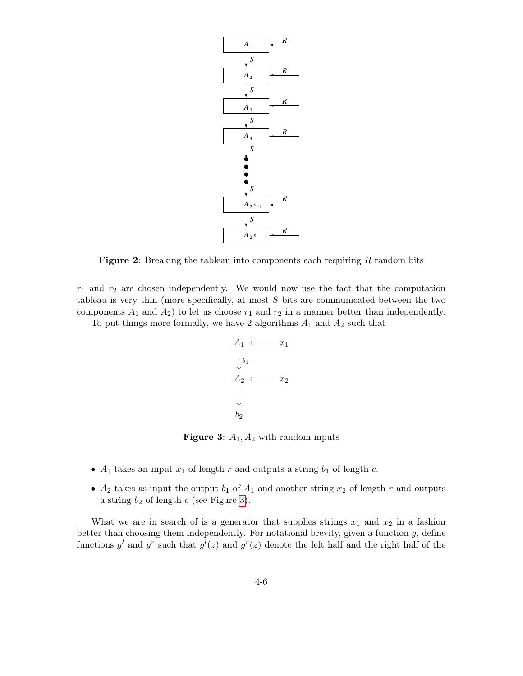

<span id="page-5-0"></span>**Figure 2:** Breaking the tableau into components each requiring  $R$  random bits

 $r_1$  and  $r_2$  are chosen independently. We would now use the fact that the computation tableau is very thin (more specifically, at most  $S$  bits are communicated between the two components  $A_1$  and  $A_2$ ) to let us choose  $r_1$  and  $r_2$  in a manner better than independently.

To put things more formally, we have 2 algorithms  $A_1$  and  $A_2$  such that



<span id="page-5-1"></span>**Figure 3:**  $A_1$ ,  $A_2$  with random inputs

- $A_1$  takes an input  $x_1$  of length r and outputs a string  $b_1$  of length c.
- $A_2$  takes as input the output  $b_1$  of  $A_1$  and another string  $x_2$  of length r and outputs a string  $b_2$  of length c (see Figure [3\)](#page-5-1).

What we are in search of is a generator that supplies strings  $x_1$  and  $x_2$  in a fashion better than choosing them independently. For notational brevity, given a function  $g$ , define functions  $g^l$  and  $g^r$  such that  $g^l(z)$  and  $g^r(z)$  denote the left half and the right half of the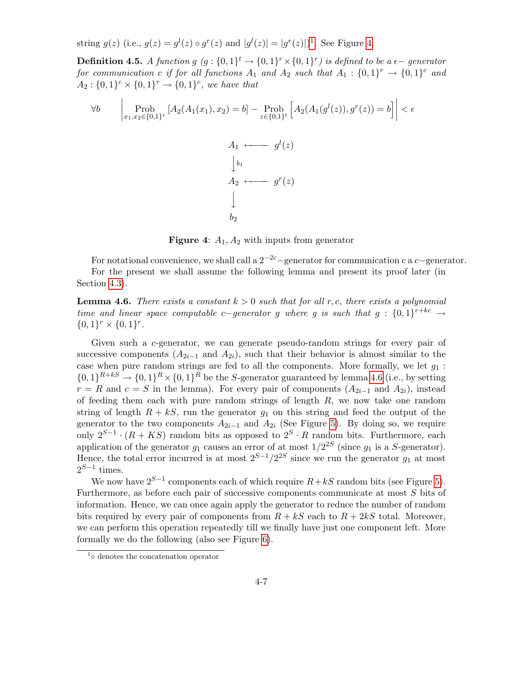string  $g(z)$  (i.e.,  $g(z) = g<sup>l</sup>(z) \circ g<sup>r</sup>(z)$  and  $|g<sup>l</sup>(z)| = |g<sup>r</sup>(z)|$ )<sup>[1](#page-6-0)</sup>. See Figure [4.](#page-6-1)

**Definition 4.5.** A function  $g(g: \{0,1\}^t \rightarrow \{0,1\}^r \times \{0,1\}^r)$  is defined to be a  $\epsilon$ -generator for communication c if for all functions  $A_1$  and  $A_2$  such that  $A_1: \{0,1\}^r \rightarrow \{0,1\}^c$  and  $A_2: \{0,1\}^c \times \{0,1\}^r \rightarrow \{0,1\}^c$ , we have that

$$
\forall b \qquad \begin{vmatrix} \text{Prob} \\ x_1, x_2 \in \{0, 1\}^r \end{vmatrix} [A_2(A_1(x_1), x_2) = b] - \text{Prob}_{z \in \{0, 1\}^t} [A_2(A_1(g^l(z)), g^r(z)) = b] \Big| < \epsilon
$$
  

$$
A_1 \longleftarrow g^l(z)
$$
  

$$
\downarrow b_1
$$
  

$$
A_2 \longleftarrow g^r(z)
$$
  

$$
\downarrow b_2
$$

<span id="page-6-1"></span>**Figure 4:**  $A_1$ ,  $A_2$  with inputs from generator

For notational convenience, we shall call a  $2^{-2c}$ −generator for communication c a c−generator. For the present we shall assume the following lemma and present its proof later (in Section [4.3\)](#page-7-0).

<span id="page-6-2"></span>**Lemma 4.6.** There exists a constant  $k > 0$  such that for all r, c, there exists a polynomial time and linear space computable c−generator g where g is such that  $g: \{0,1\}^{r+kc} \rightarrow$  ${0,1}^r \times {0,1}^r.$ 

Given such a c-generator, we can generate pseudo-random strings for every pair of successive components  $(A_{2i-1}$  and  $A_{2i}$ , such that their behavior is almost similar to the case when pure random strings are fed to all the components. More formally, we let  $g_1$ :  $\{0,1\}^{R+ks} \to \{0,1\}^R \times \{0,1\}^R$  be the S-generator guaranteed by lemma [4.6](#page-6-2) (i.e., by setting  $r = R$  and  $c = S$  in the lemma). For every pair of components  $(A_{2i-1}$  and  $A_{2i})$ , instead of feeding them each with pure random strings of length  $R$ , we now take one random string of length  $R + kS$ , run the generator  $g_1$  on this string and feed the output of the generator to the two components  $A_{2i-1}$  and  $A_{2i}$  (See Figure [5\)](#page-7-1). By doing so, we require only  $2^{S-1} \cdot (R + KS)$  random bits as opposed to  $2^S \cdot R$  random bits. Furthermore, each application of the generator  $g_1$  causes an error of at most  $1/2^{2S}$  (since  $g_1$  is a S-generator). Hence, the total error incurred is at most  $2^{S-1}/2^{2S}$  since we run the generator  $g_1$  at most  $2^{S-1}$  times.

We now have  $2^{S-1}$  components each of which require  $R+kS$  random bits (see Figure [5\)](#page-7-1). Furthermore, as before each pair of successive components communicate at most S bits of information. Hence, we can once again apply the generator to reduce the number of random bits required by every pair of components from  $R + kS$  each to  $R + 2kS$  total. Moreover, we can perform this operation repeatedly till we finally have just one component left. More formally we do the following (also see Figure [6\)](#page-8-0).

<span id="page-6-0"></span><sup>1</sup> ◦ denotes the concatenation operator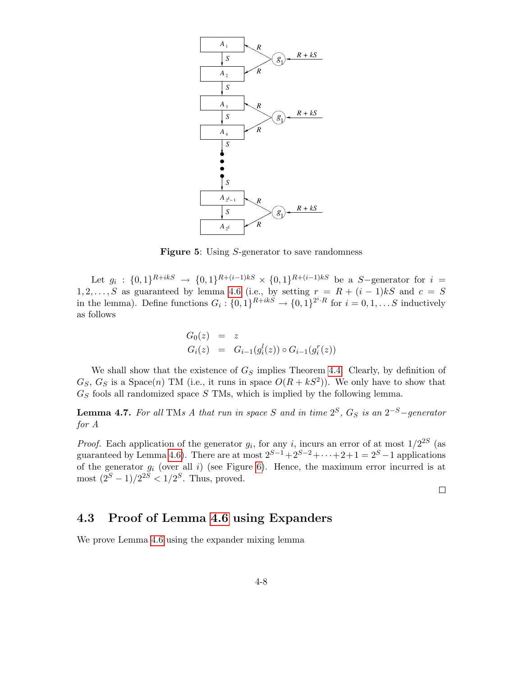

<span id="page-7-1"></span>**Figure 5:** Using S-generator to save randomness

Let  $g_i: \{0,1\}^{R+ikS} \to \{0,1\}^{R+(i-1)kS} \times \{0,1\}^{R+(i-1)kS}$  be a S-generator for  $i =$ 1, 2, ..., S as guaranteed by lemma [4.6](#page-6-2) (i.e., by setting  $r = R + (i - 1)kS$  and  $c = S$ in the lemma). Define functions  $G_i: \{0,1\}^{R+ikS} \to \{0,1\}^{2^i \cdot R}$  for  $i = 0,1,\ldots S$  inductively as follows

$$
G_0(z) = z
$$
  
\n
$$
G_i(z) = G_{i-1}(g_i^l(z)) \circ G_{i-1}(g_i^r(z))
$$

We shall show that the existence of  $G<sub>S</sub>$  implies Theorem [4.4.](#page-4-0) Clearly, by definition of  $G_S, G_S$  is a Space(n) TM (i.e., it runs in space  $O(R + kS^2)$ ). We only have to show that  $G<sub>S</sub>$  fools all randomized space S TMs, which is implied by the following lemma.

**Lemma 4.7.** For all TMs A that run in space S and in time  $2^S$ ,  $G_S$  is an  $2^{-S}$ -generator for A

*Proof.* Each application of the generator  $g_i$ , for any i, incurs an error of at most  $1/2^{2S}$  (as guaranteed by Lemma [4.6\)](#page-6-2). There are at most  $2^{S-1}+2^{S-2}+\cdots+2+1=2^S-1$  applications of the generator  $g_i$  (over all i) (see Figure [6\)](#page-8-0). Hence, the maximum error incurred is at most  $(2^S - 1)/2^{2S} < 1/2^S$ . Thus, proved.

 $\Box$ 

# <span id="page-7-0"></span>4.3 Proof of Lemma [4.6](#page-6-2) using Expanders

We prove Lemma [4.6](#page-6-2) using the expander mixing lemma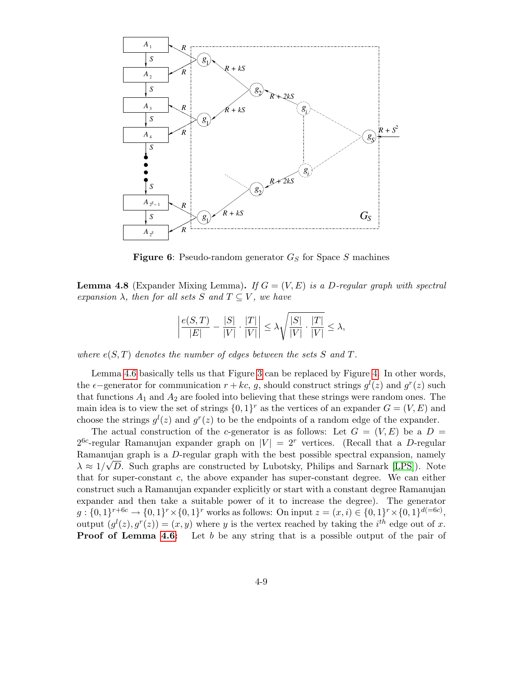

<span id="page-8-0"></span>**Figure 6:** Pseudo-random generator  $G_S$  for Space S machines

**Lemma 4.8** (Expander Mixing Lemma). If  $G = (V, E)$  is a D-regular graph with spectral expansion  $\lambda$ , then for all sets S and  $T \subseteq V$ , we have

$$
\left|\frac{e(S,T)}{|E|}-\frac{|S|}{|V|}\cdot\frac{|T|}{|V|}\right|\leq \lambda \sqrt{\frac{|S|}{|V|}\cdot\frac{|T|}{|V|}}\leq \lambda,
$$

where  $e(S,T)$  denotes the number of edges between the sets S and T.

Lemma [4.6](#page-6-2) basically tells us that Figure [3](#page-5-1) can be replaced by Figure [4.](#page-6-1) In other words, the  $\epsilon$ -generator for communication  $r + kc$ , g, should construct strings  $g<sup>l</sup>(z)$  and  $g<sup>r</sup>(z)$  such that functions  $A_1$  and  $A_2$  are fooled into believing that these strings were random ones. The main idea is to view the set of strings  $\{0,1\}^r$  as the vertices of an expander  $G = (V, E)$  and choose the strings  $g^l(z)$  and  $g^r(z)$  to be the endpoints of a random edge of the expander.

The actual construction of the c-generator is as follows: Let  $G = (V, E)$  be a  $D =$  $2^{6c}$ -regular Ramanujan expander graph on  $|V| = 2<sup>r</sup>$  vertices. (Recall that a D-regular Ramanujan graph is a D-regular graph with the best possible spectral expansion, namely  $\lambda \approx 1/\sqrt{D}$ . Such graphs are constructed by Lubotsky, Philips and Sarnark [\[LPS\]](#page-10-4)). Note that for super-constant c, the above expander has super-constant degree. We can either construct such a Ramanujan expander explicitly or start with a constant degree Ramanujan expander and then take a suitable power of it to increase the degree). The generator  $g: \{0,1\}^{r+6c} \to \{0,1\}^r \times \{0,1\}^r$  works as follows: On input  $z = (x, i) \in \{0,1\}^r \times \{0,1\}^{d(=6c)}$ , output  $(g^l(z), g^r(z)) = (x, y)$  where y is the vertex reached by taking the i<sup>th</sup> edge out of x. **Proof of Lemma [4.6:](#page-6-2)** Let b be any string that is a possible output of the pair of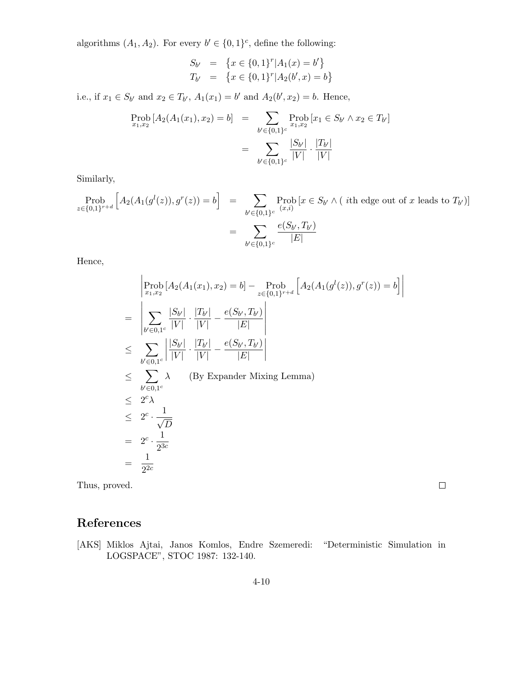algorithms  $(A_1, A_2)$ . For every  $b' \in \{0, 1\}^c$ , define the following:

$$
S_{b'} = \{x \in \{0, 1\}^r | A_1(x) = b'\}
$$
  

$$
T_{b'} = \{x \in \{0, 1\}^r | A_2(b', x) = b\}
$$

i.e., if  $x_1 \in S_{b'}$  and  $x_2 \in T_{b'}$ ,  $A_1(x_1) = b'$  and  $A_2(b', x_2) = b$ . Hence,

$$
\text{Prob}_{x_1, x_2} [A_2(A_1(x_1), x_2) = b] = \sum_{b' \in \{0, 1\}^c} \text{Prob}_{x_1, x_2} [x_1 \in S_{b'} \land x_2 \in T_{b'}]
$$
\n
$$
= \sum_{b' \in \{0, 1\}^c} \frac{|S_{b'}|}{|V|} \cdot \frac{|T_{b'}|}{|V|}
$$

Similarly,

$$
\begin{aligned} \text{Prob}_{z \in \{0,1\}^{r+a}} \left[ A_2(A_1(g^l(z)), g^r(z)) = b \right] &= \sum_{b' \in \{0,1\}^c} \text{Prob}_{(x, i)} \left[ x \in S_{b'} \land (\text{ the edge out of } x \text{ leads to } T_{b'}) \right] \\ &= \sum_{b' \in \{0,1\}^c} \frac{e(S_{b'}, T_{b'})}{|E|} \end{aligned}
$$

Hence,

$$
\begin{aligned}\n&\left|\operatorname{Prob}_{x_1,x_2}\left[A_2(A_1(x_1),x_2)=b\right]-\operatorname{Prob}_{z\in\{0,1\}^{r+d}}\left[A_2(A_1(g^l(z)),g^r(z))=b\right]\right| \\
&=\left|\sum_{b'\in 0,1^c}\frac{|S_{b'}|}{|V|}\cdot\frac{|T_{b'}|}{|V|}-\frac{e(S_{b'},T_{b'})}{|E|}\right| \\
&\leq \sum_{b'\in 0,1^c}\left|\frac{|S_{b'}|}{|V|}\cdot\frac{|T_{b'}|}{|V|}-\frac{e(S_{b'},T_{b'})}{|E|}\right| \\
&\leq \sum_{b'\in 0,1^c}\lambda \qquad \text{(By Expander Mixing Lemma)} \\
&\leq 2^c\lambda \\
&\leq 2^c \cdot \frac{1}{\sqrt{D}} \\
&= 2^c \cdot \frac{1}{2^{3c}} \\
&= \frac{1}{2^{2c}}\n\end{aligned}
$$

Thus, proved.

 $\Box$ 

# References

<span id="page-9-0"></span>[AKS] Miklos Ajtai, Janos Komlos, Endre Szemeredi: "Deterministic Simulation in LOGSPACE", STOC 1987: 132-140.